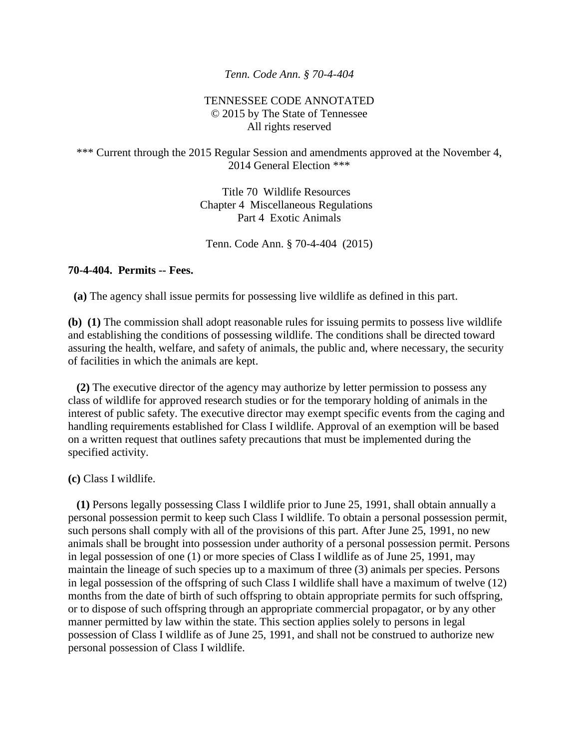## *Tenn. Code Ann. § 70-4-404*

## TENNESSEE CODE ANNOTATED © 2015 by The State of Tennessee All rights reserved

## \*\*\* Current through the 2015 Regular Session and amendments approved at the November 4, 2014 General Election \*\*\*

Title 70 Wildlife Resources Chapter 4 Miscellaneous Regulations Part 4 Exotic Animals

Tenn. Code Ann. § 70-4-404 (2015)

## **70-4-404. Permits -- Fees.**

**(a)** The agency shall issue permits for possessing live wildlife as defined in this part.

**(b) (1)** The commission shall adopt reasonable rules for issuing permits to possess live wildlife and establishing the conditions of possessing wildlife. The conditions shall be directed toward assuring the health, welfare, and safety of animals, the public and, where necessary, the security of facilities in which the animals are kept.

 **(2)** The executive director of the agency may authorize by letter permission to possess any class of wildlife for approved research studies or for the temporary holding of animals in the interest of public safety. The executive director may exempt specific events from the caging and handling requirements established for Class I wildlife. Approval of an exemption will be based on a written request that outlines safety precautions that must be implemented during the specified activity.

**(c)** Class I wildlife.

 **(1)** Persons legally possessing Class I wildlife prior to June 25, 1991, shall obtain annually a personal possession permit to keep such Class I wildlife. To obtain a personal possession permit, such persons shall comply with all of the provisions of this part. After June 25, 1991, no new animals shall be brought into possession under authority of a personal possession permit. Persons in legal possession of one (1) or more species of Class I wildlife as of June 25, 1991, may maintain the lineage of such species up to a maximum of three (3) animals per species. Persons in legal possession of the offspring of such Class I wildlife shall have a maximum of twelve (12) months from the date of birth of such offspring to obtain appropriate permits for such offspring, or to dispose of such offspring through an appropriate commercial propagator, or by any other manner permitted by law within the state. This section applies solely to persons in legal possession of Class I wildlife as of June 25, 1991, and shall not be construed to authorize new personal possession of Class I wildlife.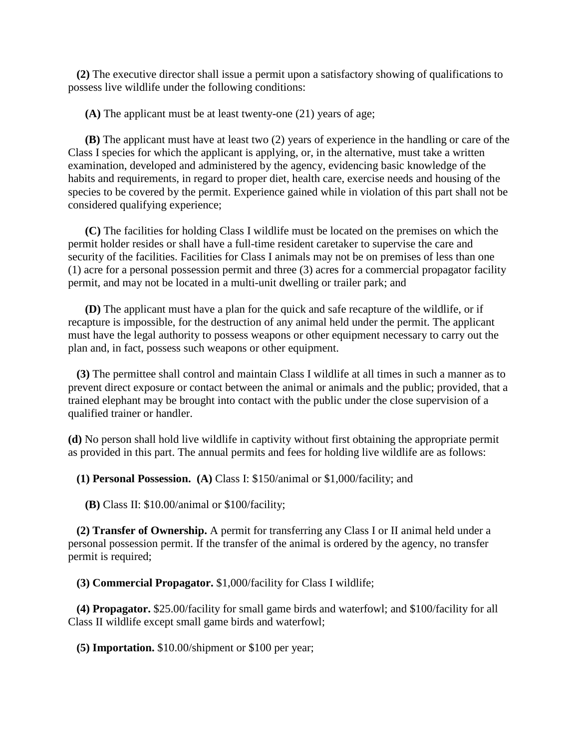**(2)** The executive director shall issue a permit upon a satisfactory showing of qualifications to possess live wildlife under the following conditions:

**(A)** The applicant must be at least twenty-one (21) years of age;

 **(B)** The applicant must have at least two (2) years of experience in the handling or care of the Class I species for which the applicant is applying, or, in the alternative, must take a written examination, developed and administered by the agency, evidencing basic knowledge of the habits and requirements, in regard to proper diet, health care, exercise needs and housing of the species to be covered by the permit. Experience gained while in violation of this part shall not be considered qualifying experience;

 **(C)** The facilities for holding Class I wildlife must be located on the premises on which the permit holder resides or shall have a full-time resident caretaker to supervise the care and security of the facilities. Facilities for Class I animals may not be on premises of less than one (1) acre for a personal possession permit and three (3) acres for a commercial propagator facility permit, and may not be located in a multi-unit dwelling or trailer park; and

 **(D)** The applicant must have a plan for the quick and safe recapture of the wildlife, or if recapture is impossible, for the destruction of any animal held under the permit. The applicant must have the legal authority to possess weapons or other equipment necessary to carry out the plan and, in fact, possess such weapons or other equipment.

 **(3)** The permittee shall control and maintain Class I wildlife at all times in such a manner as to prevent direct exposure or contact between the animal or animals and the public; provided, that a trained elephant may be brought into contact with the public under the close supervision of a qualified trainer or handler.

**(d)** No person shall hold live wildlife in captivity without first obtaining the appropriate permit as provided in this part. The annual permits and fees for holding live wildlife are as follows:

**(1) Personal Possession. (A)** Class I: \$150/animal or \$1,000/facility; and

**(B)** Class II: \$10.00/animal or \$100/facility;

 **(2) Transfer of Ownership.** A permit for transferring any Class I or II animal held under a personal possession permit. If the transfer of the animal is ordered by the agency, no transfer permit is required;

**(3) Commercial Propagator.** \$1,000/facility for Class I wildlife;

 **(4) Propagator.** \$25.00/facility for small game birds and waterfowl; and \$100/facility for all Class II wildlife except small game birds and waterfowl;

**(5) Importation.** \$10.00/shipment or \$100 per year;